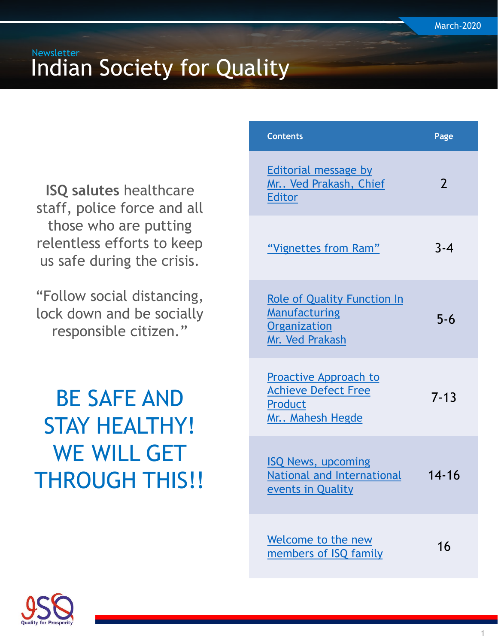**ISQ salutes** healthcare staff, police force and all those who are putting relentless efforts to keep us safe during the crisis.

"Follow social distancing, lock down and be socially responsible citizen."

BE SAFE AND STAY HEALTHY! WE WILL GET THROUGH THIS!!

| <b>Contents</b>                                                                                      | Page          |
|------------------------------------------------------------------------------------------------------|---------------|
| <b>Editorial message by</b><br>Mr Ved Prakash, Chief<br>Editor                                       | $\mathcal{P}$ |
| "Vignettes from Ram"                                                                                 | $3 - 4$       |
| <b>Role of Quality Function In</b><br><b>Manufacturing</b><br><b>Organization</b><br>Mr. Ved Prakash | $5 - 6$       |
| <b>Proactive Approach to</b><br><b>Achieve Defect Free</b><br><b>Product</b><br>Mr Mahesh Hegde      | $7 - 13$      |
| <b>ISQ News, upcoming</b><br>National and International<br><u>events in Quality</u>                  | $14 - 16$     |
| Welcome to the new<br>members of ISQ family                                                          | 16            |

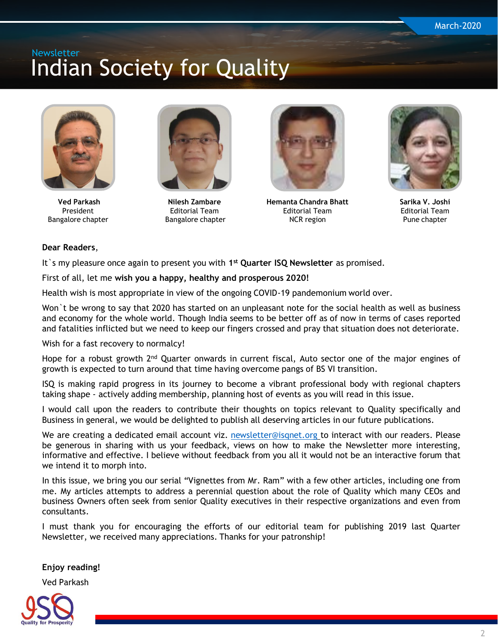<span id="page-1-0"></span>

**Ved Parkash** President Bangalore chapter



**Nilesh Zambare** Editorial Team Bangalore chapter



**Hemanta Chandra Bhatt** Editorial Team NCR region



**Sarika V. Joshi** Editorial Team Pune chapter

#### **Dear Readers**,

It `s my pleasure once again to present you with 1<sup>st</sup> Quarter ISQ Newsletter as promised.

First of all, let me **wish you a happy, healthy and prosperous 2020!**

Health wish is most appropriate in view of the ongoing COVID-19 pandemonium world over.

Won`t be wrong to say that 2020 has started on an unpleasant note for the social health as well as business and economy for the whole world. Though India seems to be better off as of now in terms of cases reported and fatalities inflicted but we need to keep our fingers crossed and pray that situation does not deteriorate.

Wish for a fast recovery to normalcy!

Hope for a robust growth 2<sup>nd</sup> Quarter onwards in current fiscal, Auto sector one of the major engines of growth is expected to turn around that time having overcome pangs of BS VI transition.

ISQ is making rapid progress in its journey to become a vibrant professional body with regional chapters taking shape - actively adding membership, planning host of events as you will read in this issue.

I would call upon the readers to contribute their thoughts on topics relevant to Quality specifically and Business in general, we would be delighted to publish all deserving articles in our future publications.

We are creating a dedicated email account viz. [newsletter@isqnet.org](mailto:newsletter@isqnet.org) to interact with our readers. Please be generous in sharing with us your feedback, views on how to make the Newsletter more interesting, informative and effective. I believe without feedback from you all it would not be an interactive forum that we intend it to morph into.

In this issue, we bring you our serial "Vignettes from Mr. Ram" with a few other articles, including one from me. My articles attempts to address a perennial question about the role of Quality which many CEOs and business Owners often seek from senior Quality executives in their respective organizations and even from consultants.

I must thank you for encouraging the efforts of our editorial team for publishing 2019 last Quarter Newsletter, we received many appreciations. Thanks for your patronship!

**Enjoy reading!**

Ved Parkash

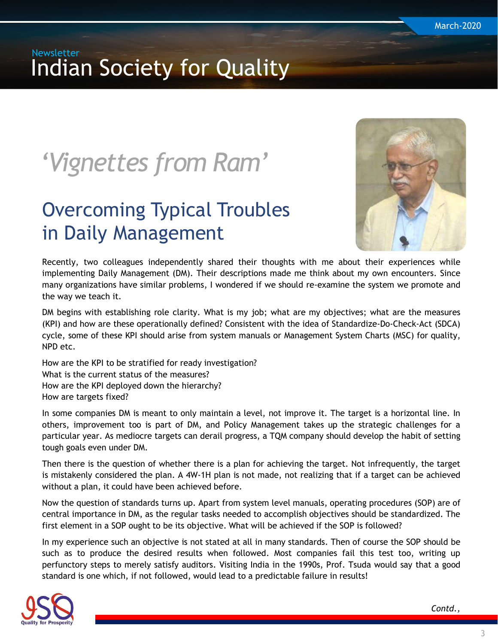# <span id="page-2-0"></span>*'Vignettes from Ram'*

## Overcoming Typical Troubles in Daily Management



Recently, two colleagues independently shared their thoughts with me about their experiences while implementing Daily Management (DM). Their descriptions made me think about my own encounters. Since many organizations have similar problems, I wondered if we should re-examine the system we promote and the way we teach it.

DM begins with establishing role clarity. What is my job; what are my objectives; what are the measures (KPI) and how are these operationally defined? Consistent with the idea of Standardize-Do-Check-Act (SDCA) cycle, some of these KPI should arise from system manuals or Management System Charts (MSC) for quality, NPD etc.

How are the KPI to be stratified for ready investigation? What is the current status of the measures? How are the KPI deployed down the hierarchy? How are targets fixed?

In some companies DM is meant to only maintain a level, not improve it. The target is a horizontal line. In others, improvement too is part of DM, and Policy Management takes up the strategic challenges for a particular year. As mediocre targets can derail progress, a TQM company should develop the habit of setting tough goals even under DM.

Then there is the question of whether there is a plan for achieving the target. Not infrequently, the target is mistakenly considered the plan. A 4W-1H plan is not made, not realizing that if a target can be achieved without a plan, it could have been achieved before.

Now the question of standards turns up. Apart from system level manuals, operating procedures (SOP) are of central importance in DM, as the regular tasks needed to accomplish objectives should be standardized. The first element in a SOP ought to be its objective. What will be achieved if the SOP is followed?

In my experience such an objective is not stated at all in many standards. Then of course the SOP should be such as to produce the desired results when followed. Most companies fail this test too, writing up perfunctory steps to merely satisfy auditors. Visiting India in the 1990s, Prof. Tsuda would say that a good standard is one which, if not followed, would lead to a predictable failure in results!

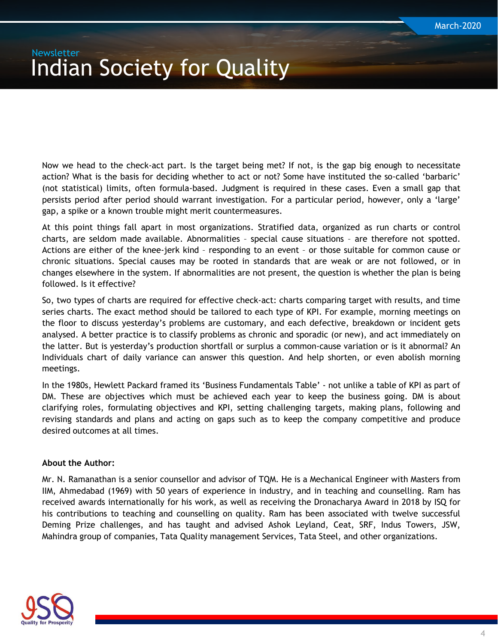Now we head to the check-act part. Is the target being met? If not, is the gap big enough to necessitate action? What is the basis for deciding whether to act or not? Some have instituted the so-called 'barbaric' (not statistical) limits, often formula-based. Judgment is required in these cases. Even a small gap that persists period after period should warrant investigation. For a particular period, however, only a 'large' gap, a spike or a known trouble might merit countermeasures.

At this point things fall apart in most organizations. Stratified data, organized as run charts or control charts, are seldom made available. Abnormalities – special cause situations – are therefore not spotted. Actions are either of the knee-jerk kind – responding to an event – or those suitable for common cause or chronic situations. Special causes may be rooted in standards that are weak or are not followed, or in changes elsewhere in the system. If abnormalities are not present, the question is whether the plan is being followed. Is it effective?

So, two types of charts are required for effective check-act: charts comparing target with results, and time series charts. The exact method should be tailored to each type of KPI. For example, morning meetings on the floor to discuss yesterday's problems are customary, and each defective, breakdown or incident gets analysed. A better practice is to classify problems as chronic and sporadic (or new), and act immediately on the latter. But is yesterday's production shortfall or surplus a common-cause variation or is it abnormal? An Individuals chart of daily variance can answer this question. And help shorten, or even abolish morning meetings.

In the 1980s, Hewlett Packard framed its 'Business Fundamentals Table' - not unlike a table of KPI as part of DM. These are objectives which must be achieved each year to keep the business going. DM is about clarifying roles, formulating objectives and KPI, setting challenging targets, making plans, following and revising standards and plans and acting on gaps such as to keep the company competitive and produce desired outcomes at all times.

#### **About the Author:**

Mr. N. Ramanathan is a senior counsellor and advisor of TQM. He is a Mechanical Engineer with Masters from IIM, Ahmedabad (1969) with 50 years of experience in industry, and in teaching and counselling. Ram has received awards internationally for his work, as well as receiving the Dronacharya Award in 2018 by ISQ for his contributions to teaching and counselling on quality. Ram has been associated with twelve successful Deming Prize challenges, and has taught and advised Ashok Leyland, Ceat, SRF, Indus Towers, JSW, Mahindra group of companies, Tata Quality management Services, Tata Steel, and other organizations.

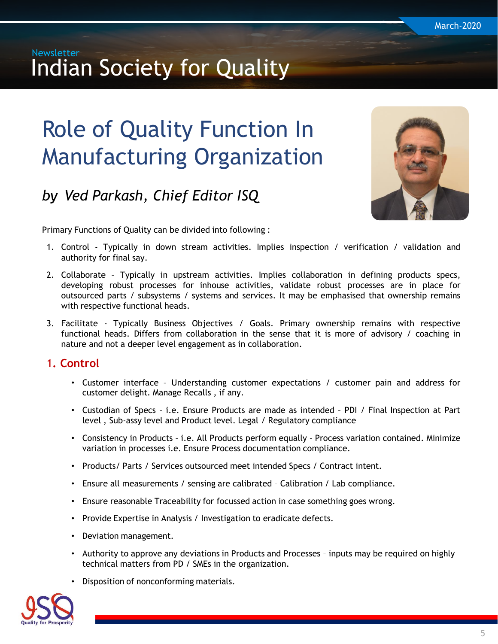# <span id="page-4-0"></span>Role of Quality Function In Manufacturing Organization

## *by Ved Parkash, Chief Editor ISQ*



Primary Functions of Quality can be divided into following :

- 1. Control Typically in down stream activities. Implies inspection / verification / validation and authority for final say.
- 2. Collaborate Typically in upstream activities. Implies collaboration in defining products specs, developing robust processes for inhouse activities, validate robust processes are in place for outsourced parts / subsystems / systems and services. It may be emphasised that ownership remains with respective functional heads.
- 3. Facilitate Typically Business Objectives / Goals. Primary ownership remains with respective functional heads. Differs from collaboration in the sense that it is more of advisory / coaching in nature and not a deeper level engagement as in collaboration.

#### 1**. Control**

- Customer interface Understanding customer expectations / customer pain and address for customer delight. Manage Recalls , if any.
- Custodian of Specs i.e. Ensure Products are made as intended PDI / Final Inspection at Part level , Sub-assy level and Product level. Legal / Regulatory compliance
- Consistency in Products i.e. All Products perform equally Process variation contained. Minimize variation in processes i.e. Ensure Process documentation compliance.
- Products/ Parts / Services outsourced meet intended Specs / Contract intent.
- Ensure all measurements / sensing are calibrated Calibration / Lab compliance.
- Ensure reasonable Traceability for focussed action in case something goes wrong.
- Provide Expertise in Analysis / Investigation to eradicate defects.
- Deviation management.
- Authority to approve any deviations in Products and Processes inputs may be required on highly technical matters from PD / SMEs in the organization.
- Disposition of nonconforming materials.

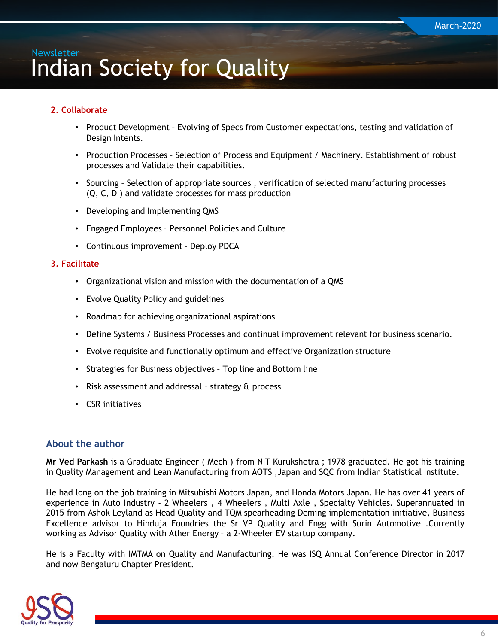#### **2. Collaborate**

- Product Development Evolving of Specs from Customer expectations, testing and validation of Design Intents.
- Production Processes Selection of Process and Equipment / Machinery. Establishment of robust processes and Validate their capabilities.
- Sourcing Selection of appropriate sources , verification of selected manufacturing processes (Q, C, D ) and validate processes for mass production
- Developing and Implementing QMS
- Engaged Employees Personnel Policies and Culture
- Continuous improvement Deploy PDCA

#### **3. Facilitate**

- Organizational vision and mission with the documentation of a QMS
- Evolve Quality Policy and guidelines
- Roadmap for achieving organizational aspirations
- Define Systems / Business Processes and continual improvement relevant for business scenario.
- Evolve requisite and functionally optimum and effective Organization structure
- Strategies for Business objectives Top line and Bottom line
- Risk assessment and addressal strategy & process
- CSR initiatives

#### **About the author**

**Mr Ved Parkash** is a Graduate Engineer ( Mech ) from NIT Kurukshetra ; 1978 graduated. He got his training in Quality Management and Lean Manufacturing from AOTS ,Japan and SQC from Indian Statistical Institute.

He had long on the job training in Mitsubishi Motors Japan, and Honda Motors Japan. He has over 41 years of experience in Auto Industry - 2 Wheelers, 4 Wheelers, Multi Axle, Specialty Vehicles. Superannuated in 2015 from Ashok Leyland as Head Quality and TQM spearheading Deming implementation initiative, Business Excellence advisor to Hinduja Foundries the Sr VP Quality and Engg with Surin Automotive .Currently working as Advisor Quality with Ather Energy – a 2-Wheeler EV startup company.

He is a Faculty with IMTMA on Quality and Manufacturing. He was ISQ Annual Conference Director in 2017 and now Bengaluru Chapter President.

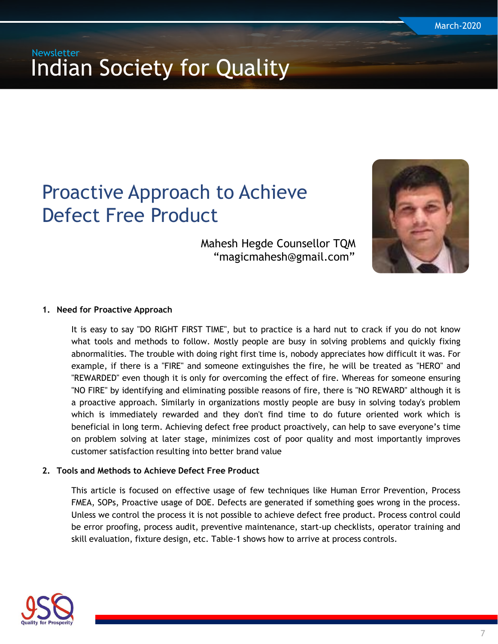## <span id="page-6-0"></span>Proactive Approach to Achieve Defect Free Product

Mahesh Hegde Counsellor TQM "magicmahesh@gmail.com"



#### **1. Need for Proactive Approach**

It is easy to say "DO RIGHT FIRST TIME", but to practice is a hard nut to crack if you do not know what tools and methods to follow. Mostly people are busy in solving problems and quickly fixing abnormalities. The trouble with doing right first time is, nobody appreciates how difficult it was. For example, if there is a "FIRE" and someone extinguishes the fire, he will be treated as "HERO" and "REWARDED" even though it is only for overcoming the effect of fire. Whereas for someone ensuring "NO FIRE" by identifying and eliminating possible reasons of fire, there is "NO REWARD" although it is a proactive approach. Similarly in organizations mostly people are busy in solving today's problem which is immediately rewarded and they don't find time to do future oriented work which is beneficial in long term. Achieving defect free product proactively, can help to save everyone's time on problem solving at later stage, minimizes cost of poor quality and most importantly improves customer satisfaction resulting into better brand value

#### **2. Tools and Methods to Achieve Defect Free Product**

This article is focused on effective usage of few techniques like Human Error Prevention, Process FMEA, SOPs, Proactive usage of DOE. Defects are generated if something goes wrong in the process. Unless we control the process it is not possible to achieve defect free product. Process control could be error proofing, process audit, preventive maintenance, start-up checklists, operator training and skill evaluation, fixture design, etc. Table-1 shows how to arrive at process controls.

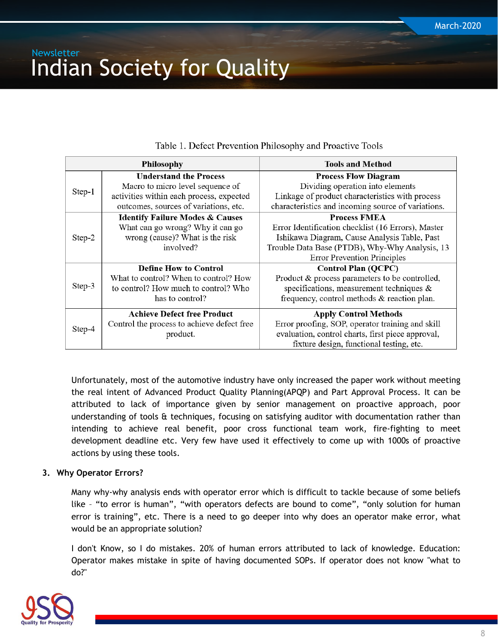|        | <b>Philosophy</b>                                                                                                                                      | <b>Tools and Method</b>                                                                                                                                                                                           |
|--------|--------------------------------------------------------------------------------------------------------------------------------------------------------|-------------------------------------------------------------------------------------------------------------------------------------------------------------------------------------------------------------------|
| Step-1 | <b>Understand the Process</b><br>Macro to micro level sequence of<br>activities within each process, expected<br>outcomes, sources of variations, etc. | <b>Process Flow Diagram</b><br>Dividing operation into elements<br>Linkage of product characteristics with process<br>characteristics and incoming source of variations.                                          |
| Step-2 | <b>Identify Failure Modes &amp; Causes</b><br>What can go wrong? Why it can go<br>wrong (cause)? What is the risk<br>involved?                         | <b>Process FMEA</b><br>Error Identification checklist (16 Errors), Master<br>Ishikawa Diagram, Cause Analysis Table, Past<br>Trouble Data Base (PTDB), Why-Why Analysis, 13<br><b>Error Prevention Principles</b> |
| Step-3 | <b>Define How to Control</b><br>What to control? When to control? How<br>to control? How much to control? Who<br>has to control?                       | <b>Control Plan (QCPC)</b><br>Product & process parameters to be controlled,<br>specifications, measurement techniques $\&$<br>frequency, control methods & reaction plan.                                        |
| Step-4 | <b>Achieve Defect free Product</b><br>Control the process to achieve defect free<br>product.                                                           | <b>Apply Control Methods</b><br>Error proofing, SOP, operator training and skill<br>evaluation, control charts, first piece approval,<br>fixture design, functional testing, etc.                                 |

Table 1. Defect Prevention Philosophy and Proactive Tools

Unfortunately, most of the automotive industry have only increased the paper work without meeting the real intent of Advanced Product Quality Planning(APQP) and Part Approval Process. It can be attributed to lack of importance given by senior management on proactive approach, poor understanding of tools & techniques, focusing on satisfying auditor with documentation rather than intending to achieve real benefit, poor cross functional team work, fire-fighting to meet development deadline etc. Very few have used it effectively to come up with 1000s of proactive actions by using these tools.

#### **3. Why Operator Errors?**

Many why-why analysis ends with operator error which is difficult to tackle because of some beliefs like – "to error is human", "with operators defects are bound to come", "only solution for human error is training", etc. There is a need to go deeper into why does an operator make error, what would be an appropriate solution?

I don't Know, so I do mistakes. 20% of human errors attributed to lack of knowledge. Education: Operator makes mistake in spite of having documented SOPs. If operator does not know "what to do?"

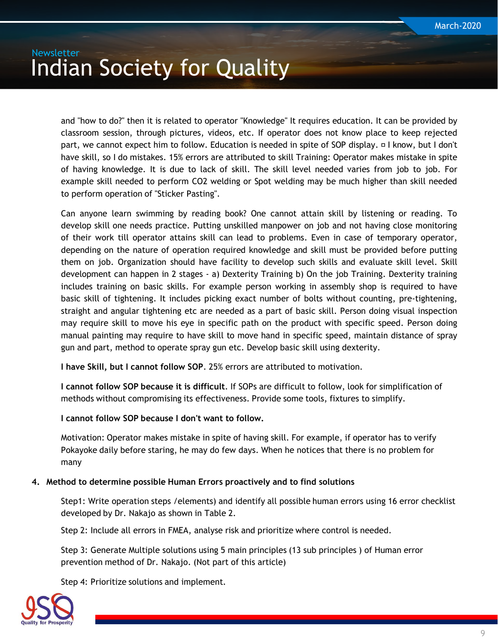and "how to do?" then it is related to operator "Knowledge" It requires education. It can be provided by classroom session, through pictures, videos, etc. If operator does not know place to keep rejected part, we cannot expect him to follow. Education is needed in spite of SOP display.  $\Box$  I know, but I don't have skill, so I do mistakes. 15% errors are attributed to skill Training: Operator makes mistake in spite of having knowledge. It is due to lack of skill. The skill level needed varies from job to job. For example skill needed to perform CO2 welding or Spot welding may be much higher than skill needed to perform operation of "Sticker Pasting".

Can anyone learn swimming by reading book? One cannot attain skill by listening or reading. To develop skill one needs practice. Putting unskilled manpower on job and not having close monitoring of their work till operator attains skill can lead to problems. Even in case of temporary operator, depending on the nature of operation required knowledge and skill must be provided before putting them on job. Organization should have facility to develop such skills and evaluate skill level. Skill development can happen in 2 stages - a) Dexterity Training b) On the job Training. Dexterity training includes training on basic skills. For example person working in assembly shop is required to have basic skill of tightening. It includes picking exact number of bolts without counting, pre-tightening, straight and angular tightening etc are needed as a part of basic skill. Person doing visual inspection may require skill to move his eye in specific path on the product with specific speed. Person doing manual painting may require to have skill to move hand in specific speed, maintain distance of spray gun and part, method to operate spray gun etc. Develop basic skill using dexterity.

**I have Skill, but I cannot follow SOP**. 25% errors are attributed to motivation.

**I cannot follow SOP because it is difficult**. If SOPs are difficult to follow, look for simplification of methods without compromising its effectiveness. Provide some tools, fixtures to simplify.

**I cannot follow SOP because I don't want to follow.**

Motivation: Operator makes mistake in spite of having skill. For example, if operator has to verify Pokayoke daily before staring, he may do few days. When he notices that there is no problem for many

#### **4. Method to determine possible Human Errors proactively and to find solutions**

Step1: Write operation steps /elements) and identify all possible human errors using 16 error checklist developed by Dr. Nakajo as shown in Table 2.

Step 2: Include all errors in FMEA, analyse risk and prioritize where control is needed.

Step 3: Generate Multiple solutions using 5 main principles (13 sub principles ) of Human error prevention method of Dr. Nakajo. (Not part of this article)

Step 4: Prioritize solutions and implement.

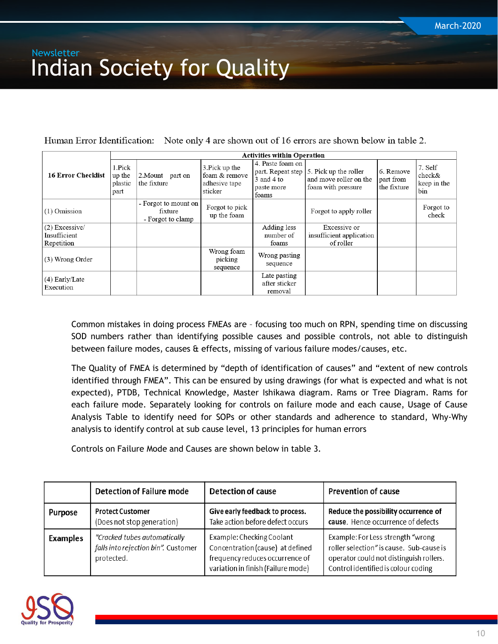Human Error Identification: Note only 4 are shown out of 16 errors are shown below in table 2.

|                               | <b>Activities within Operation</b>  |                                                      |                                                             |                                                       |                                                                                                 |                                       |                                         |
|-------------------------------|-------------------------------------|------------------------------------------------------|-------------------------------------------------------------|-------------------------------------------------------|-------------------------------------------------------------------------------------------------|---------------------------------------|-----------------------------------------|
| <b>16 Error Checklist</b>     | 1.Pick<br>up the<br>plastic<br>part | 2.Mount<br>part on<br>the fixture                    | 3. Pick up the<br>foam & remove<br>adhesive tape<br>sticker | 4. Paste foam on<br>3 and 4 to<br>paste more<br>foams | part. Repeat step $\vert$ 5. Pick up the roller<br>and move roller on the<br>foam with pressure | 6. Remove<br>part from<br>the fixture | 7. Self<br>check&<br>keep in the<br>bin |
| $(1)$ Omission                |                                     | - Forgot to mount on<br>fixture<br>- Forgot to clamp | Forgot to pick<br>up the foam                               |                                                       | Forgot to apply roller                                                                          |                                       | Forgot to<br>check                      |
| (2) Excessive/                |                                     |                                                      |                                                             | Adding less                                           | Excessive or                                                                                    |                                       |                                         |
| Insufficient                  |                                     |                                                      |                                                             | number of                                             | insufficient application                                                                        |                                       |                                         |
| Repetition                    |                                     |                                                      |                                                             | foams                                                 | of roller                                                                                       |                                       |                                         |
| (3) Wrong Order               |                                     |                                                      | Wrong foam<br>picking<br>sequence                           | Wrong pasting<br>sequence                             |                                                                                                 |                                       |                                         |
| $(4)$ Early/Late<br>Execution |                                     |                                                      |                                                             | Late pasting<br>after sticker<br>removal              |                                                                                                 |                                       |                                         |

Common mistakes in doing process FMEAs are – focusing too much on RPN, spending time on discussing SOD numbers rather than identifying possible causes and possible controls, not able to distinguish between failure modes, causes & effects, missing of various failure modes/causes, etc.

The Quality of FMEA is determined by "depth of identification of causes" and "extent of new controls identified through FMEA". This can be ensured by using drawings (for what is expected and what is not expected), PTDB, Technical Knowledge, Master Ishikawa diagram. Rams or Tree Diagram. Rams for each failure mode. Separately looking for controls on failure mode and each cause, Usage of Cause Analysis Table to identify need for SOPs or other standards and adherence to standard, Why-Why analysis to identify control at sub cause level, 13 principles for human errors

Controls on Failure Mode and Causes are shown below in table 3.

|                | <b>Detection of Failure mode</b>                                                  | <b>Detection of cause</b>                                                                                                              | <b>Prevention of cause</b>                                                                                                                                      |
|----------------|-----------------------------------------------------------------------------------|----------------------------------------------------------------------------------------------------------------------------------------|-----------------------------------------------------------------------------------------------------------------------------------------------------------------|
| <b>Purpose</b> | <b>Protect Customer</b><br>(Does not stop generation)                             | Give early feedback to process.<br>Take action before defect occurs                                                                    | Reduce the possibility occurrence of<br>cause. Hence occurrence of defects                                                                                      |
| Examples       | "Cracked tubes automatically<br>falls into rejection bin". Customer<br>protected. | Example: Checking Coolant<br>Concentration (cause) at defined<br>frequency reduces occurrence of<br>variation in finish (Failure mode) | Example: For Less strength "wrong<br>roller selection" is cause. Sub-cause is<br>operator could not distinguish rollers.<br>Control identified is colour coding |

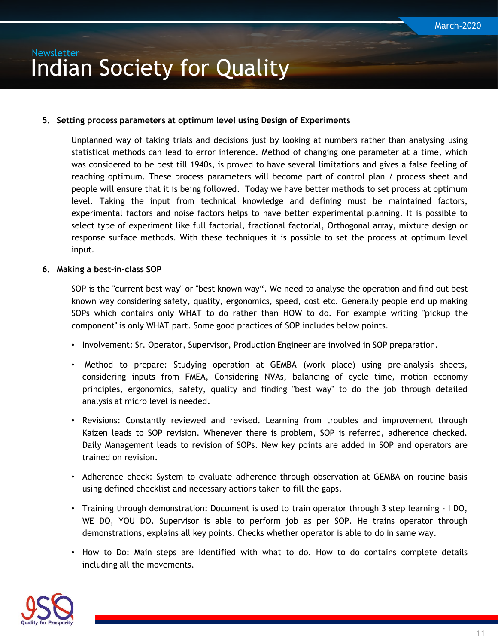#### **5. Setting process parameters at optimum level using Design of Experiments**

Unplanned way of taking trials and decisions just by looking at numbers rather than analysing using statistical methods can lead to error inference. Method of changing one parameter at a time, which was considered to be best till 1940s, is proved to have several limitations and gives a false feeling of reaching optimum. These process parameters will become part of control plan / process sheet and people will ensure that it is being followed. Today we have better methods to set process at optimum level. Taking the input from technical knowledge and defining must be maintained factors, experimental factors and noise factors helps to have better experimental planning. It is possible to select type of experiment like full factorial, fractional factorial, Orthogonal array, mixture design or response surface methods. With these techniques it is possible to set the process at optimum level input.

#### **6. Making a best-in-class SOP**

SOP is the "current best way" or "best known way". We need to analyse the operation and find out best known way considering safety, quality, ergonomics, speed, cost etc. Generally people end up making SOPs which contains only WHAT to do rather than HOW to do. For example writing "pickup the component" is only WHAT part. Some good practices of SOP includes below points.

- Involvement: Sr. Operator, Supervisor, Production Engineer are involved in SOP preparation.
- Method to prepare: Studying operation at GEMBA (work place) using pre-analysis sheets, considering inputs from FMEA, Considering NVAs, balancing of cycle time, motion economy principles, ergonomics, safety, quality and finding "best way" to do the job through detailed analysis at micro level is needed.
- Revisions: Constantly reviewed and revised. Learning from troubles and improvement through Kaizen leads to SOP revision. Whenever there is problem, SOP is referred, adherence checked. Daily Management leads to revision of SOPs. New key points are added in SOP and operators are trained on revision.
- Adherence check: System to evaluate adherence through observation at GEMBA on routine basis using defined checklist and necessary actions taken to fill the gaps.
- Training through demonstration: Document is used to train operator through 3 step learning I DO, WE DO, YOU DO. Supervisor is able to perform job as per SOP. He trains operator through demonstrations, explains all key points. Checks whether operator is able to do in same way.
- How to Do: Main steps are identified with what to do. How to do contains complete details including all the movements.

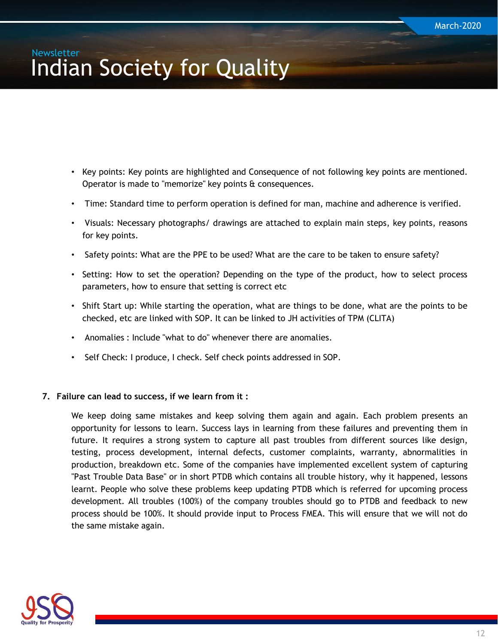- Key points: Key points are highlighted and Consequence of not following key points are mentioned. Operator is made to "memorize" key points & consequences.
- Time: Standard time to perform operation is defined for man, machine and adherence is verified.
- Visuals: Necessary photographs/ drawings are attached to explain main steps, key points, reasons for key points.
- Safety points: What are the PPE to be used? What are the care to be taken to ensure safety?
- Setting: How to set the operation? Depending on the type of the product, how to select process parameters, how to ensure that setting is correct etc
- Shift Start up: While starting the operation, what are things to be done, what are the points to be checked, etc are linked with SOP. It can be linked to JH activities of TPM (CLITA)
- Anomalies : Include "what to do" whenever there are anomalies.
- Self Check: I produce, I check. Self check points addressed in SOP.

#### **7. Failure can lead to success, if we learn from it :**

We keep doing same mistakes and keep solving them again and again. Each problem presents an opportunity for lessons to learn. Success lays in learning from these failures and preventing them in future. It requires a strong system to capture all past troubles from different sources like design, testing, process development, internal defects, customer complaints, warranty, abnormalities in production, breakdown etc. Some of the companies have implemented excellent system of capturing "Past Trouble Data Base" or in short PTDB which contains all trouble history, why it happened, lessons learnt. People who solve these problems keep updating PTDB which is referred for upcoming process development. All troubles (100%) of the company troubles should go to PTDB and feedback to new process should be 100%. It should provide input to Process FMEA. This will ensure that we will not do the same mistake again.

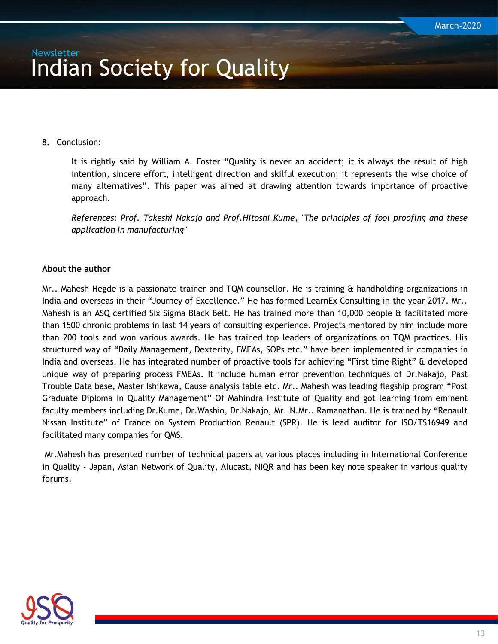#### 8. Conclusion:

It is rightly said by William A. Foster "Quality is never an accident; it is always the result of high intention, sincere effort, intelligent direction and skilful execution; it represents the wise choice of many alternatives". This paper was aimed at drawing attention towards importance of proactive approach.

*References: Prof. Takeshi Nakajo and Prof.Hitoshi Kume, "The principles of fool proofing and these application in manufacturing"*

#### **About the author**

Mr.. Mahesh Hegde is a passionate trainer and TQM counsellor. He is training & handholding organizations in India and overseas in their "Journey of Excellence." He has formed LearnEx Consulting in the year 2017. Mr.. Mahesh is an ASQ certified Six Sigma Black Belt. He has trained more than 10,000 people & facilitated more than 1500 chronic problems in last 14 years of consulting experience. Projects mentored by him include more than 200 tools and won various awards. He has trained top leaders of organizations on TQM practices. His structured way of "Daily Management, Dexterity, FMEAs, SOPs etc." have been implemented in companies in India and overseas. He has integrated number of proactive tools for achieving "First time Right" & developed unique way of preparing process FMEAs. It include human error prevention techniques of Dr.Nakajo, Past Trouble Data base, Master Ishikawa, Cause analysis table etc. Mr.. Mahesh was leading flagship program "Post Graduate Diploma in Quality Management" Of Mahindra Institute of Quality and got learning from eminent faculty members including Dr.Kume, Dr.Washio, Dr.Nakajo, Mr..N.Mr.. Ramanathan. He is trained by "Renault Nissan Institute" of France on System Production Renault (SPR). He is lead auditor for ISO/TS16949 and facilitated many companies for QMS.

Mr.Mahesh has presented number of technical papers at various places including in International Conference in Quality - Japan, Asian Network of Quality, Alucast, NIQR and has been key note speaker in various quality forums.

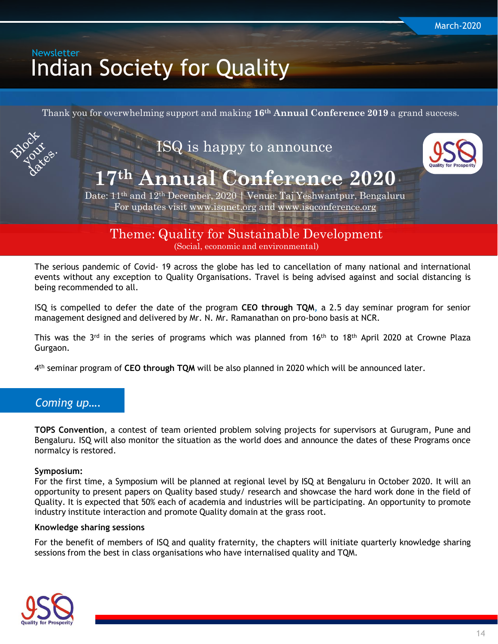<span id="page-13-0"></span>Thank you for overwhelming support and making **16th Annual Conference 2019** a grand success.



Theme: Quality for Sustainable Development (Social, economic and environmental)

The serious pandemic of Covid- 19 across the globe has led to cancellation of many national and international events without any exception to Quality Organisations. Travel is being advised against and social distancing is being recommended to all.

ISQ is compelled to defer the date of the program **CEO through TQM,** a 2.5 day seminar program for senior management designed and delivered by Mr. N. Mr. Ramanathan on pro-bono basis at NCR.

This was the 3<sup>rd</sup> in the series of programs which was planned from 16<sup>th</sup> to 18<sup>th</sup> April 2020 at Crowne Plaza Gurgaon.

4 th seminar program of **CEO through TQM** will be also planned in 2020 which will be announced later.

#### *Coming up….*

**TOPS Convention**, a contest of team oriented problem solving projects for supervisors at Gurugram, Pune and Bengaluru. ISQ will also monitor the situation as the world does and announce the dates of these Programs once normalcy is restored.

#### **Symposium:**

For the first time, a Symposium will be planned at regional level by ISQ at Bengaluru in October 2020. It will an opportunity to present papers on Quality based study/ research and showcase the hard work done in the field of Quality. It is expected that 50% each of academia and industries will be participating. An opportunity to promote industry institute interaction and promote Quality domain at the grass root.

#### **Knowledge sharing sessions**

For the benefit of members of ISQ and quality fraternity, the chapters will initiate quarterly knowledge sharing sessions from the best in class organisations who have internalised quality and TQM.

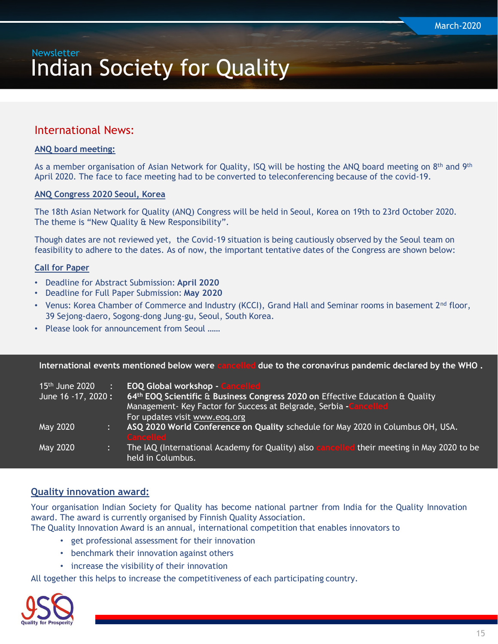#### International News:

#### **ANQ board meeting:**

As a member organisation of Asian Network for Quality, ISQ will be hosting the ANQ board meeting on 8<sup>th</sup> and 9<sup>th</sup> April 2020. The face to face meeting had to be converted to teleconferencing because of the covid-19.

#### **ANQ Congress 2020 Seoul, Korea**

The 18th Asian Network for Quality (ANQ) Congress will be held in Seoul, Korea on 19th to 23rd October 2020. The theme is "New Quality & New Responsibility".

Though dates are not reviewed yet, the Covid-19 situation is being cautiously observed by the Seoul team on feasibility to adhere to the dates. As of now, the important tentative dates of the Congress are shown below:

#### **Call for Paper**

- Deadline for Abstract Submission: **April 2020**
- Deadline for Full Paper Submission: **May 2020**
- Venus: Korea Chamber of Commerce and Industry (KCCI), Grand Hall and Seminar rooms in basement  $2^{nd}$  floor, 39 Sejong-daero, Sogong-dong Jung-gu, Seoul, South Korea.
- Please look for announcement from Seoul ……

**International events mentioned below were cancelled due to the coronavirus pandemic declared by the WHO .** 

| $15th$ June 2020<br>June 16 - 17, 2020 : | $\mathcal{L}$ | <b>EOQ Global workshop - Cancelled</b><br>64th EOQ Scientific & Business Congress 2020 on Effective Education & Quality<br>Management- Key Factor for Success at Belgrade, Serbia - Cancelled<br>For updates visit www.eoq.org |
|------------------------------------------|---------------|--------------------------------------------------------------------------------------------------------------------------------------------------------------------------------------------------------------------------------|
| May 2020                                 |               | ASQ 2020 World Conference on Quality schedule for May 2020 in Columbus OH, USA.<br><b>Cancelled</b>                                                                                                                            |
| May 2020                                 |               | The IAQ (International Academy for Quality) also cancelled their meeting in May 2020 to be<br>held in Columbus.                                                                                                                |

#### **Quality innovation award:**

Your organisation Indian Society for Quality has become national partner from India for the Quality Innovation award. The award is currently organised by Finnish Quality Association.

The Quality Innovation Award is an annual, international competition that enables innovators to

- get professional assessment for their innovation
- benchmark their innovation against others
- increase the visibility of their innovation

All together this helps to increase the competitiveness of each participating country.